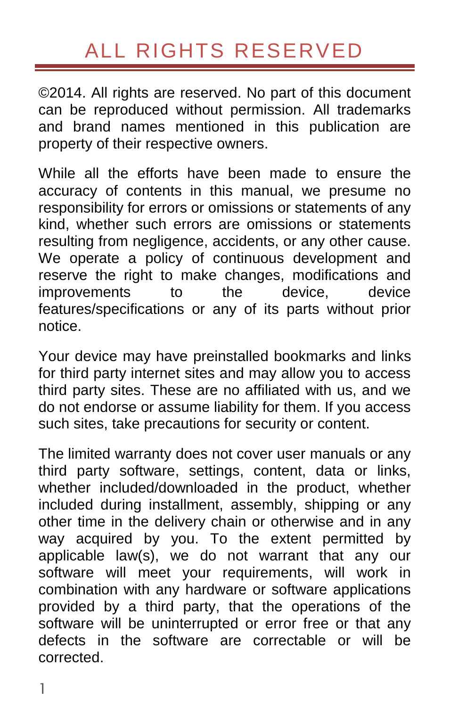# ALL RIGHTS RESERVED

<span id="page-0-0"></span>©2014. All rights are reserved. No part of this document can be reproduced without permission. All trademarks and brand names mentioned in this publication are property of their respective owners.

While all the efforts have been made to ensure the accuracy of contents in this manual, we presume no responsibility for errors or omissions or statements of any kind, whether such errors are omissions or statements resulting from negligence, accidents, or any other cause. We operate a policy of continuous development and reserve the right to make changes, modifications and improvements to the device, device features/specifications or any of its parts without prior notice.

Your device may have preinstalled bookmarks and links for third party internet sites and may allow you to access third party sites. These are no affiliated with us, and we do not endorse or assume liability for them. If you access such sites, take precautions for security or content.

The limited warranty does not cover user manuals or any third party software, settings, content, data or links, whether included/downloaded in the product, whether included during installment, assembly, shipping or any other time in the delivery chain or otherwise and in any way acquired by you. To the extent permitted by applicable law(s), we do not warrant that any our software will meet your requirements, will work in combination with any hardware or software applications provided by a third party, that the operations of the software will be uninterrupted or error free or that any defects in the software are correctable or will be corrected.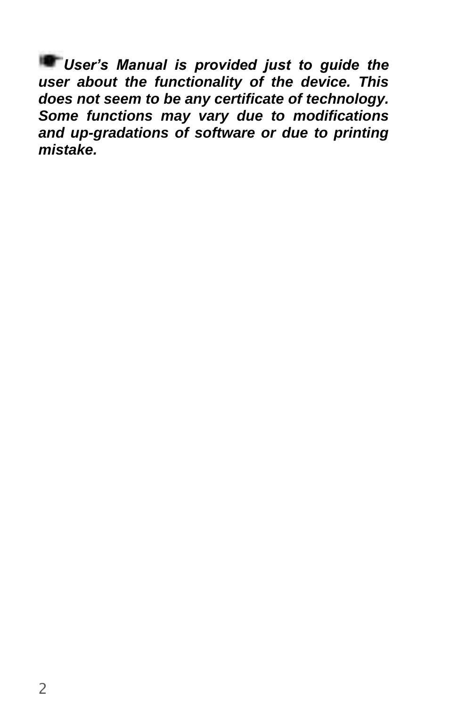*User's Manual is provided just to guide the*  **user about the functionality of the device. This does not seem to be any certificate of technology. Some functions may vary due to modifications and up-gradations of software or due to printing mistake.**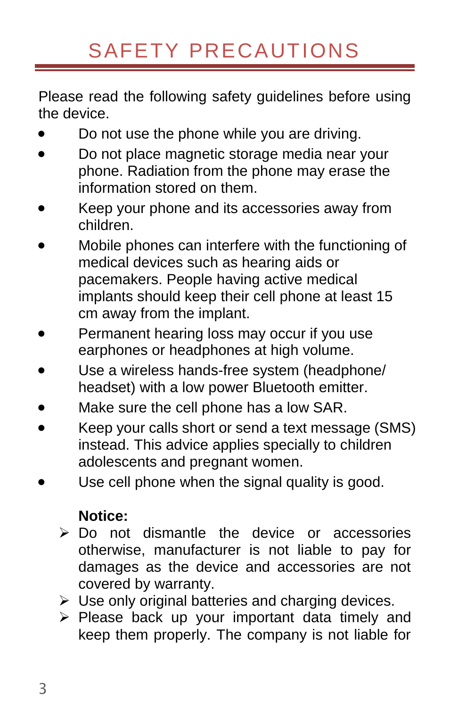# SAFETY PRECAUTIONS

<span id="page-2-0"></span>Please read the following safety guidelines before using the device.

- Do not use the phone while you are driving.
- Do not place magnetic storage media near your phone. Radiation from the phone may erase the information stored on them.
- Keep your phone and its accessories away from children.
- Mobile phones can interfere with the functioning of medical devices such as hearing aids or pacemakers. People having active medical implants should keep their cell phone at least 15 cm away from the implant.
- Permanent hearing loss may occur if you use earphones or headphones at high volume.
- Use a wireless hands-free system (headphone/ headset) with a low power Bluetooth emitter.
- Make sure the cell phone has a low SAR.
- Keep your calls short or send a text message (SMS) instead. This advice applies specially to children adolescents and pregnant women.
- Use cell phone when the signal quality is good.

#### **Notice:**

- Do not dismantle the device or accessories otherwise, manufacturer is not liable to pay for damages as the device and accessories are not covered by warranty.
- $\triangleright$  Use only original batteries and charging devices.
- $\triangleright$  Please back up your important data timely and keep them properly. The company is not liable for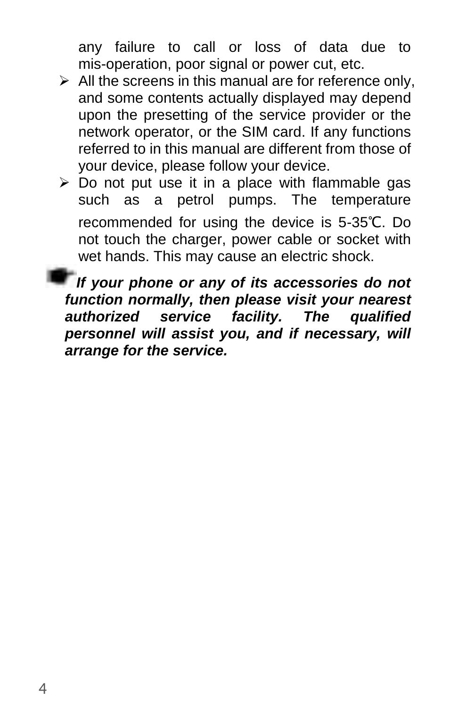any failure to call or loss of data due to mis-operation, poor signal or power cut, etc.

- $\triangleright$  All the screens in this manual are for reference only, and some contents actually displayed may depend upon the presetting of the service provider or the network operator, or the SIM card. If any functions referred to in this manual are different from those of your device, please follow your device.
- $\triangleright$  Do not put use it in a place with flammable gas such as a petrol pumps. The temperature recommended for using the device is 5-35℃. Do not touch the charger, power cable or socket with wet hands. This may cause an electric shock.

**If your phone or any of its accessories do not function normally, then please visit your nearest authorized service facility. The qualified personnel will assist you, and if necessary, will arrange for the service.**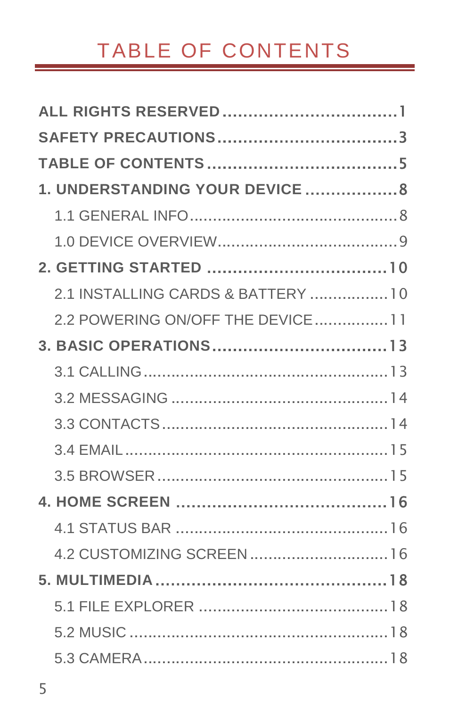# <span id="page-4-0"></span>TABLE OF CONTENTS

| 1. UNDERSTANDING YOUR DEVICE 8     |  |
|------------------------------------|--|
|                                    |  |
|                                    |  |
|                                    |  |
| 2.1 INSTALLING CARDS & BATTERY  10 |  |
| 2.2 POWERING ON/OFF THE DEVICE11   |  |
|                                    |  |
|                                    |  |
|                                    |  |
|                                    |  |
|                                    |  |
|                                    |  |
|                                    |  |
|                                    |  |
| 4.2 CUSTOMIZING SCREEN 16          |  |
|                                    |  |
|                                    |  |
|                                    |  |
|                                    |  |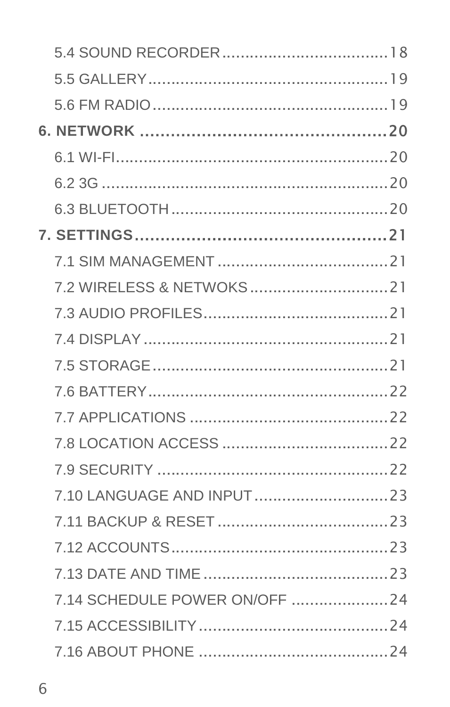| 7.14 SCHEDULE POWER ON/OFF 24 |  |
|-------------------------------|--|
|                               |  |
|                               |  |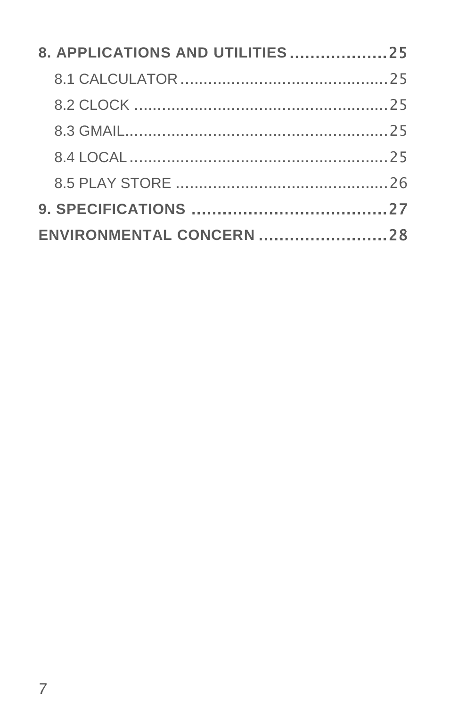| 8. APPLICATIONS AND UTILITIES25 |  |
|---------------------------------|--|
|                                 |  |
|                                 |  |
|                                 |  |
|                                 |  |
|                                 |  |
|                                 |  |
| ENVIRONMENTAL CONCERN 28        |  |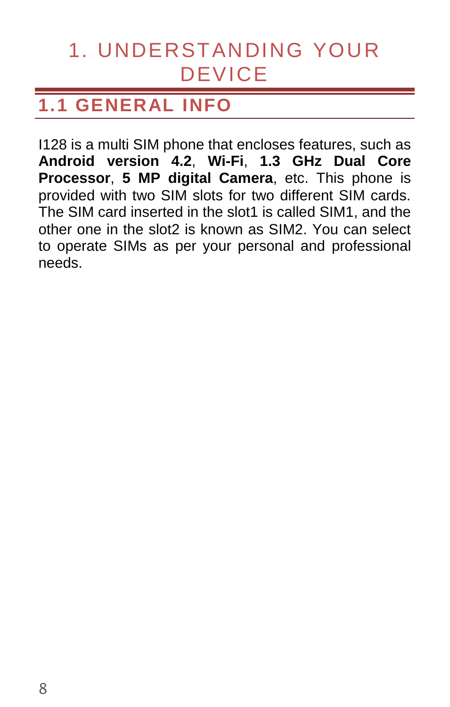# <span id="page-7-0"></span>1. UNDERSTANDING YOUR DEVICE

# <span id="page-7-1"></span>**1.1 GENERAL INFO**

I128 is a multi SIM phone that encloses features, such as **Android version 4.2**, **Wi-Fi**, **1.3 GHz Dual Core Processor**, **5 MP digital Camera**, etc. This phone is provided with two SIM slots for two different SIM cards. The SIM card inserted in the slot1 is called SIM1, and the other one in the slot2 is known as SIM2. You can select to operate SIMs as per your personal and professional needs.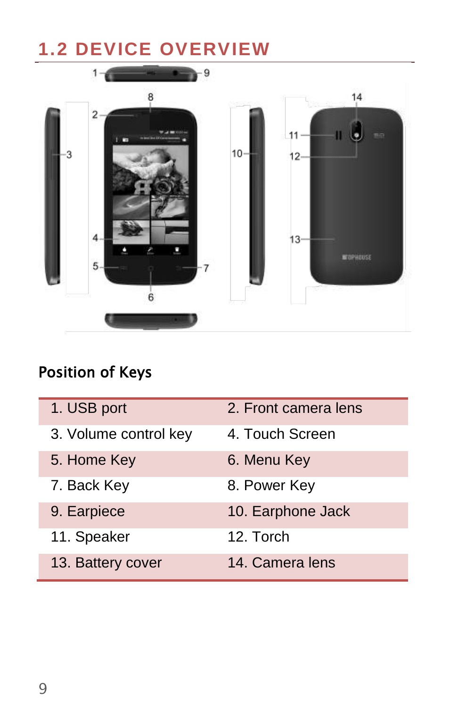# <span id="page-8-0"></span>**1.2 DEVICE OVERVIEW**



### Position of Keys

| 1. USB port           | 2. Front camera lens |
|-----------------------|----------------------|
| 3. Volume control key | 4. Touch Screen      |
| 5. Home Key           | 6. Menu Key          |
| 7. Back Key           | 8. Power Key         |
| 9. Earpiece           | 10. Earphone Jack    |
| 11. Speaker           | 12. Torch            |
| 13. Battery cover     | 14. Camera lens      |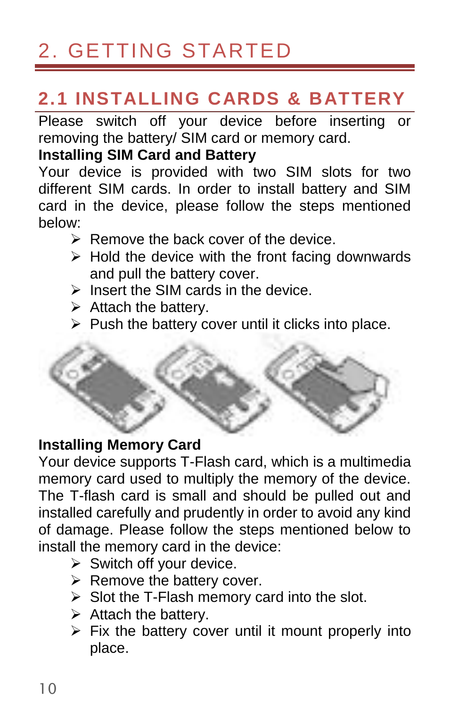# <span id="page-9-0"></span>2. GETTING STARTED

### <span id="page-9-1"></span>**2.1 INSTALLING CARDS & BATTERY**

Please switch off your device before inserting or removing the battery/ SIM card or memory card.

#### **Installing SIM Card and Battery**

Your device is provided with two SIM slots for two different SIM cards. In order to install battery and SIM card in the device, please follow the steps mentioned below:

- Remove the back cover of the device.
- $\triangleright$  Hold the device with the front facing downwards and pull the battery cover.
- $\triangleright$  Insert the SIM cards in the device.
- $\triangleright$  Attach the battery.
- $\triangleright$  Push the battery cover until it clicks into place.



#### **Installing Memory Card**

Your device supports T-Flash card, which is a multimedia memory card used to multiply the memory of the device. The T-flash card is small and should be pulled out and installed carefully and prudently in order to avoid any kind of damage. Please follow the steps mentioned below to install the memory card in the device:

- $\triangleright$  Switch off your device.
- $\triangleright$  Remove the battery cover.
- $\triangleright$  Slot the T-Flash memory card into the slot.
- $\triangleright$  Attach the battery.
- $\triangleright$  Fix the battery cover until it mount properly into place.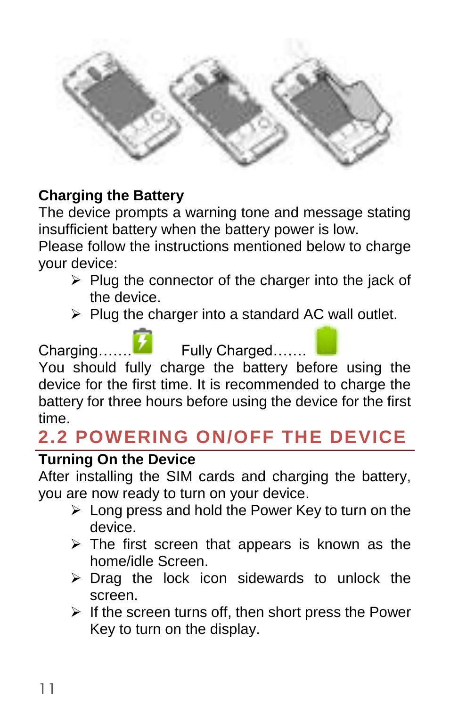

#### **Charging the Battery**

The device prompts a warning tone and message stating insufficient battery when the battery power is low.

Please follow the instructions mentioned below to charge your device:

- $\triangleright$  Plug the connector of the charger into the jack of the device.
- $\triangleright$  Plug the charger into a standard AC wall outlet.



device for the first time. It is recommended to charge the battery for three hours before using the device for the first time.

### <span id="page-10-0"></span>**2.2 POWERING ON/OFF THE DEVICE**

#### **Turning On the Device**

After installing the SIM cards and charging the battery, you are now ready to turn on your device.

- $\triangleright$  Long press and hold the Power Key to turn on the device.
- $\triangleright$  The first screen that appears is known as the home/idle Screen.
- $\triangleright$  Drag the lock icon sidewards to unlock the screen.
- $\triangleright$  If the screen turns off, then short press the Power Key to turn on the display.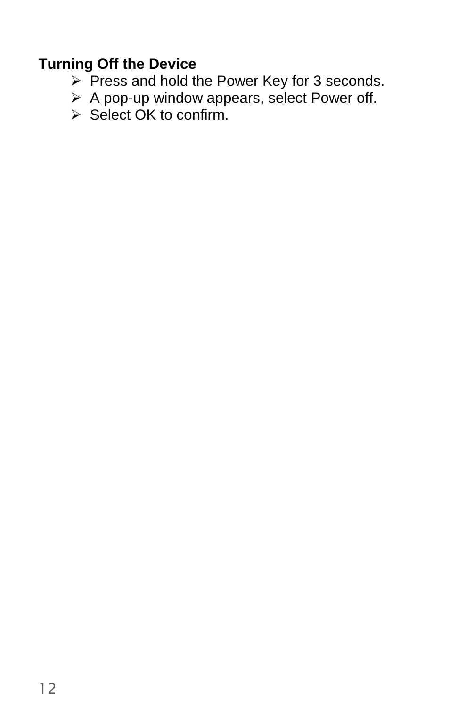#### **Turning Off the Device**

- $\triangleright$  Press and hold the Power Key for 3 seconds.
- A pop-up window appears, select Power off.
- $\triangleright$  Select OK to confirm.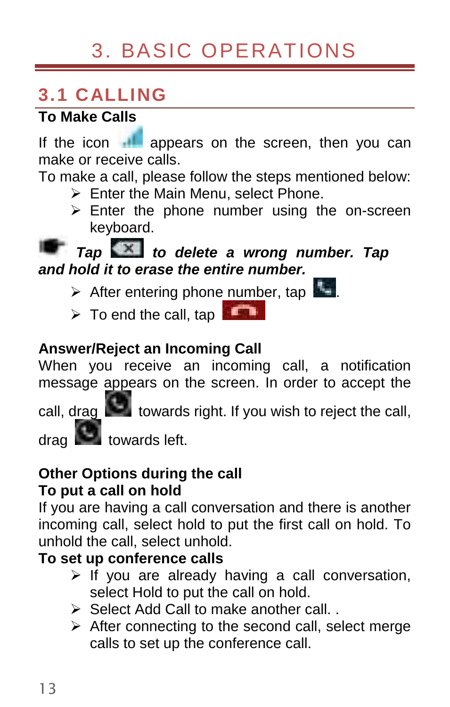# 3. BASIC OPERATIONS

### <span id="page-12-1"></span><span id="page-12-0"></span>**3.1 CALLING**

### **To Make Calls**

If the icon **I** appears on the screen, then you can make or receive calls.

To make a call, please follow the steps mentioned below:

- $\triangleright$  Enter the Main Menu, select Phone.
- $\ge$  Enter the phone number using the on-screen keyboard.

### **Tap to delete a wrong number. Tap and hold it to erase the entire number.**

- $\triangleright$  After entering phone number, tap
- $\triangleright$  To end the call, tap

#### **Answer/Reject an Incoming Call**

When you receive an incoming call, a notification message appears on the screen. In order to accept the

call, drag  $\Box$  towards right. If you wish to reject the call,

towards left

#### **Other Options during the call To put a call on hold**

If you are having a call conversation and there is another incoming call, select hold to put the first call on hold. To unhold the call, select unhold.

#### **To set up conference calls**

- $\triangleright$  If you are already having a call conversation, select Hold to put the call on hold.
- $\triangleright$  Select Add Call to make another call.
- $\triangleright$  After connecting to the second call, select merge calls to set up the conference call.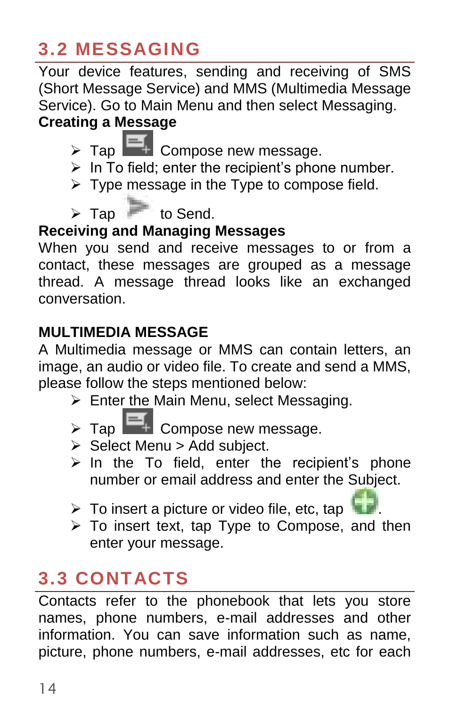## <span id="page-13-0"></span>**3.2 MESSAGING**

Your device features, sending and receiving of SMS (Short Message Service) and MMS (Multimedia Message Service). Go to Main Menu and then select Messaging.

### **Creating a Message**

- $\triangleright$  Tap  $\blacksquare$  Compose new message.
- $\triangleright$  In To field; enter the recipient's phone number.
- $\triangleright$  Type message in the Type to compose field.
- $\triangleright$  Tap  $\blacksquare$  to Send.

### **Receiving and Managing Messages**

When you send and receive messages to or from a contact, these messages are grouped as a message thread. A message thread looks like an exchanged conversation.

#### **MULTIMEDIA MESSAGE**

A Multimedia message or MMS can contain letters, an image, an audio or video file. To create and send a MMS, please follow the steps mentioned below:

- > Enter the Main Menu, select Messaging.
- $\triangleright$  Tap  $\begin{array}{|c|c|} \hline \end{array}$  Compose new message.
- $\triangleright$  Select Menu  $\triangleright$  Add subject.
- $\triangleright$  In the To field, enter the recipient's phone number or email address and enter the Subject.
- $\triangleright$  To insert a picture or video file, etc, tap
- $\triangleright$  To insert text, tap Type to Compose, and then enter your message.

# <span id="page-13-1"></span>**3.3 CONTACTS**

Contacts refer to the phonebook that lets you store names, phone numbers, e-mail addresses and other information. You can save information such as name, picture, phone numbers, e-mail addresses, etc for each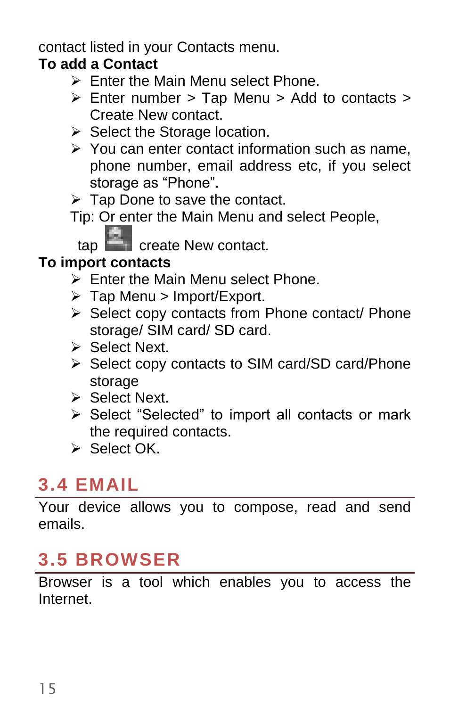contact listed in your Contacts menu.

### **To add a Contact**

- $\triangleright$  Enter the Main Menu select Phone.
- $\triangleright$  Enter number > Tap Menu > Add to contacts > Create New contact.
- $\triangleright$  Select the Storage location.
- $\triangleright$  You can enter contact information such as name, phone number, email address etc, if you select storage as "Phone".
- $\triangleright$  Tap Done to save the contact.

Tip: Or enter the Main Menu and select People,

tap create New contact.

#### **To import contacts**

- Enter the Main Menu select Phone.
- > Tap Menu > Import/Export.
- $\triangleright$  Select copy contacts from Phone contact/ Phone storage/ SIM card/ SD card.
- Select Next.
- > Select copy contacts to SIM card/SD card/Phone storage
- Select Next.
- $\triangleright$  Select "Selected" to import all contacts or mark the required contacts.
- Select OK

### <span id="page-14-0"></span>**3.4 EMAIL**

Your device allows you to compose, read and send emails.

### <span id="page-14-1"></span>**3.5 BROWSER**

Browser is a tool which enables you to access the Internet.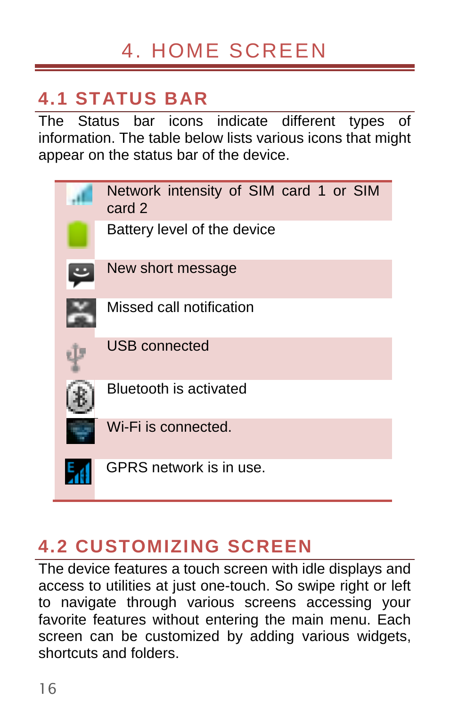# 4. HOME SCREEN

## <span id="page-15-1"></span><span id="page-15-0"></span>**4.1 STATUS BAR**

The Status bar icons indicate different types of information. The table below lists various icons that might appear on the status bar of the device.

| Network intensity of SIM card 1 or SIM<br>card 2 |
|--------------------------------------------------|
| Battery level of the device                      |
| New short message                                |
| Missed call notification                         |
| <b>USB</b> connected                             |
| <b>Bluetooth is activated</b>                    |
| Wi-Fi is connected.                              |
| GPRS network is in use.                          |

### <span id="page-15-2"></span>**4.2 CUSTOMIZING SCREEN**

The device features a touch screen with idle displays and access to utilities at just one-touch. So swipe right or left to navigate through various screens accessing your favorite features without entering the main menu. Each screen can be customized by adding various widgets. shortcuts and folders.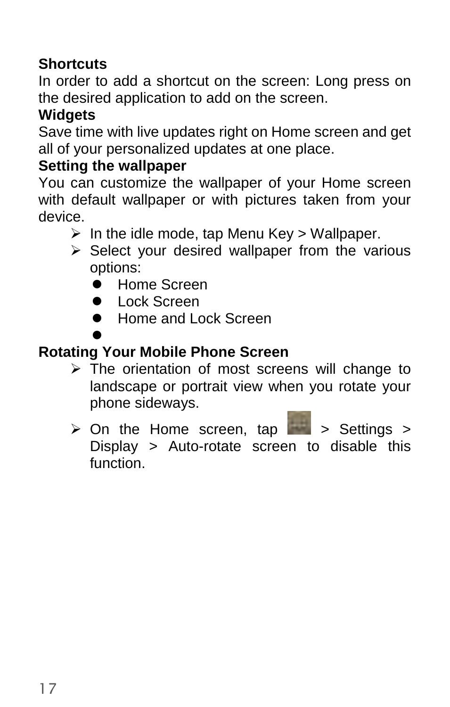#### **Shortcuts**

In order to add a shortcut on the screen: Long press on the desired application to add on the screen.

#### **Widgets**

Save time with live updates right on Home screen and get all of your personalized updates at one place.

#### **Setting the wallpaper**

You can customize the wallpaper of your Home screen with default wallpaper or with pictures taken from your device.

- $\triangleright$  In the idle mode, tap Menu Key > Wallpaper.
- $\triangleright$  Select your desired wallpaper from the various options:
	- **Home Screen**
	- **Communist Screen**
	- Home and Lock Screen

 $\bullet$ 

#### **Rotating Your Mobile Phone Screen**

- $\triangleright$  The orientation of most screens will change to landscape or portrait view when you rotate your phone sideways.
- $\triangleright$  On the Home screen, tap  $\triangleright$  Settings > Display > Auto-rotate screen to disable this function.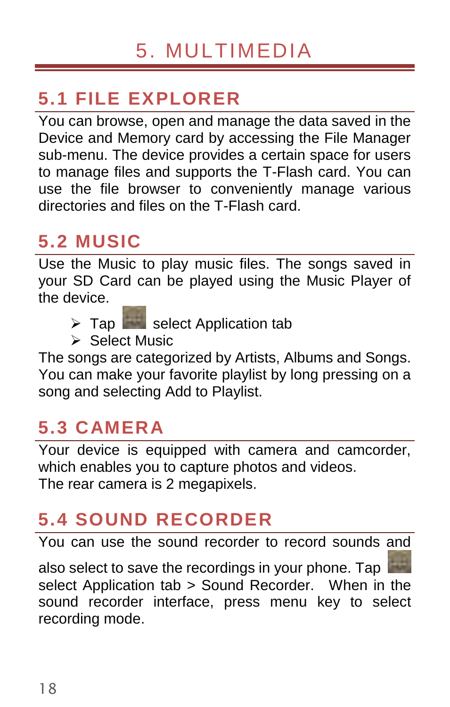# <span id="page-17-1"></span><span id="page-17-0"></span>**5.1 FILE EXPLORER**

You can browse, open and manage the data saved in the Device and Memory card by accessing the File Manager sub-menu. The device provides a certain space for users to manage files and supports the T-Flash card. You can use the file browser to conveniently manage various directories and files on the T-Flash card.

### <span id="page-17-2"></span>**5.2 MUSIC**

Use the Music to play music files. The songs saved in your SD Card can be played using the Music Player of the device.

- $\triangleright$  Tap select Application tab
- Select Music

The songs are categorized by Artists, Albums and Songs. You can make your favorite playlist by long pressing on a song and selecting Add to Playlist.

### <span id="page-17-3"></span>**5.3 CAMERA**

Your device is equipped with camera and camcorder, which enables you to capture photos and videos. The rear camera is 2 megapixels.

# <span id="page-17-4"></span>**5.4 SOUND RECORDER**

You can use the sound recorder to record sounds and

also select to save the recordings in your phone. Tap select Application tab > Sound Recorder. When in the sound recorder interface, press menu key to select recording mode.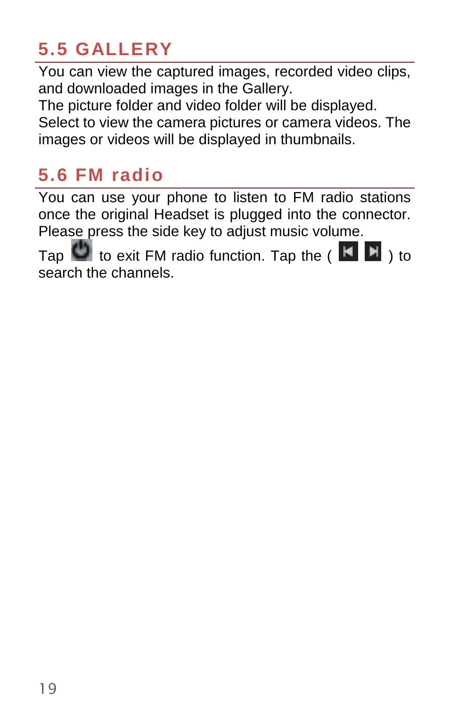## <span id="page-18-0"></span>**5.5 GALLERY**

You can view the captured images, recorded video clips, and downloaded images in the Gallery.

The picture folder and video folder will be displayed. Select to view the camera pictures or camera videos. The images or videos will be displayed in thumbnails.

### <span id="page-18-1"></span>**5.6 FM radio**

You can use your phone to listen to FM radio stations once the original Headset is plugged into the connector. Please press the side key to adjust music volume.

Tap  $\bigcup$  to exit FM radio function. Tap the ( $\bigcup$   $\bigcup$ ) to search the channels.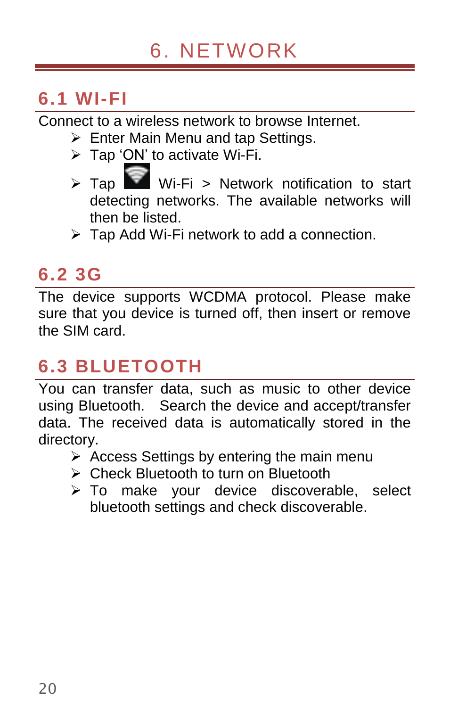### <span id="page-19-1"></span><span id="page-19-0"></span>**6.1 WI-FI**

Connect to a wireless network to browse Internet.

- $\triangleright$  Enter Main Menu and tap Settings.
- > Tap 'ON' to activate Wi-Fi.
- $\triangleright$  Tap Wi-Fi > Network notification to start detecting networks. The available networks will then be listed.
- $\triangleright$  Tap Add Wi-Fi network to add a connection.

### <span id="page-19-2"></span>**6.2 3G**

The device supports WCDMA protocol. Please make sure that you device is turned off, then insert or remove the SIM card.

### <span id="page-19-3"></span>**6.3 BLUETOOTH**

You can transfer data, such as music to other device using Bluetooth. Search the device and accept/transfer data. The received data is automatically stored in the directory.

- $\triangleright$  Access Settings by entering the main menu
- ▶ Check Bluetooth to turn on Bluetooth
- > To make your device discoverable, select bluetooth settings and check discoverable.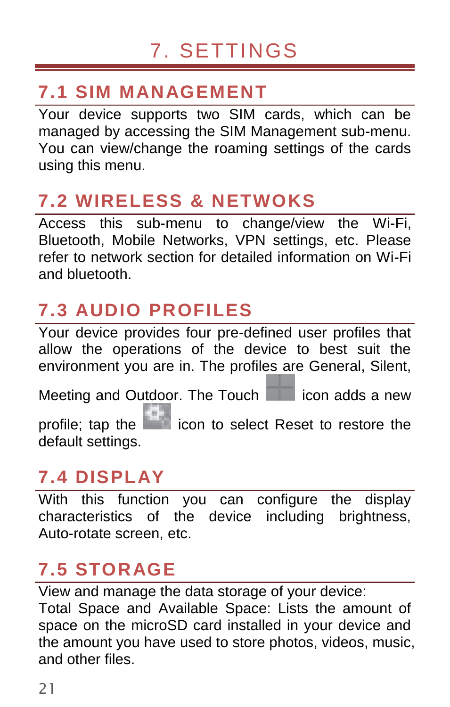### <span id="page-20-1"></span><span id="page-20-0"></span>**7.1 SIM MANAGEMENT**

Your device supports two SIM cards, which can be managed by accessing the SIM Management sub-menu. You can view/change the roaming settings of the cards using this menu.

# <span id="page-20-2"></span>**7.2 WIRELESS & NETWOKS**

Access this sub-menu to change/view the Wi-Fi, Bluetooth, Mobile Networks, VPN settings, etc. Please refer to network section for detailed information on Wi-Fi and bluetooth.

# <span id="page-20-3"></span>**7.3 AUDIO PROFILES**

Your device provides four pre-defined user profiles that allow the operations of the device to best suit the environment you are in. The profiles are General, Silent,

Meeting and Outdoor. The Touch in icon adds a new

profile; tap the incon to select Reset to restore the default settings.

### <span id="page-20-4"></span>**7.4 DISPLAY**

With this function you can configure the display characteristics of the device including brightness, Auto-rotate screen, etc.

### <span id="page-20-5"></span>**7.5 STORAGE**

View and manage the data storage of your device:

Total Space and Available Space: Lists the amount of space on the microSD card installed in your device and the amount you have used to store photos, videos, music, and other files.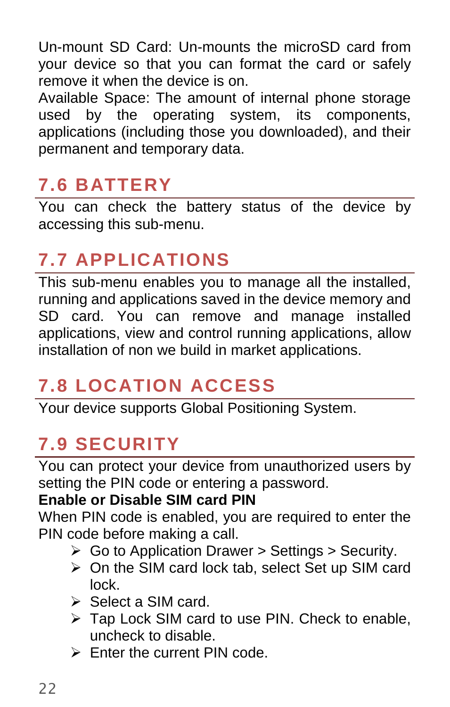Un-mount SD Card: Un-mounts the microSD card from your device so that you can format the card or safely remove it when the device is on.

Available Space: The amount of internal phone storage used by the operating system, its components, applications (including those you downloaded), and their permanent and temporary data.

### <span id="page-21-0"></span>**7.6 BATTERY**

You can check the battery status of the device by accessing this sub-menu.

# <span id="page-21-1"></span>**7.7 APPLICATIONS**

This sub-menu enables you to manage all the installed, running and applications saved in the device memory and SD card. You can remove and manage installed applications, view and control running applications, allow installation of non we build in market applications.

### <span id="page-21-2"></span>**7.8 LOCATION ACCESS**

Your device supports Global Positioning System.

# <span id="page-21-3"></span>**7.9 SECURITY**

You can protect your device from unauthorized users by setting the PIN code or entering a password.

#### **Enable or Disable SIM card PIN**

When PIN code is enabled, you are required to enter the PIN code before making a call.

- $\triangleright$  Go to Application Drawer > Settings > Security.
- On the SIM card lock tab, select Set up SIM card lock.
- Select a SIM card.
- ▶ Tap Lock SIM card to use PIN. Check to enable, uncheck to disable.
- $\triangleright$  Enter the current PIN code.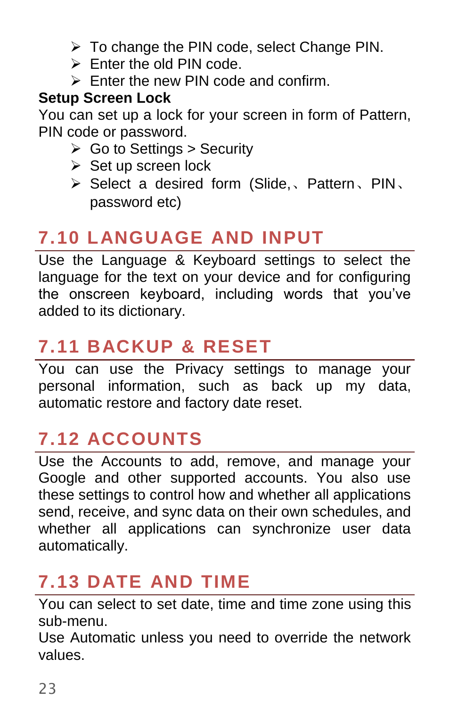- > To change the PIN code, select Change PIN.
- $\triangleright$  Enter the old PIN code.
- $\triangleright$  Enter the new PIN code and confirm.

#### **Setup Screen Lock**

You can set up a lock for your screen in form of Pattern, PIN code or password.

- $\triangleright$  Go to Settings > Security
- $\triangleright$  Set up screen lock
- Select a desired form (Slide,、Pattern、PIN、 password etc)

# <span id="page-22-0"></span>**7.10 LANGUAGE AND INPUT**

Use the Language & Keyboard settings to select the language for the text on your device and for configuring the onscreen keyboard, including words that you've added to its dictionary.

# <span id="page-22-1"></span>**7.11 BACKUP & RESET**

You can use the Privacy settings to manage your personal information, such as back up my data, automatic restore and factory date reset.

# <span id="page-22-2"></span>**7.12 ACCOUNTS**

Use the Accounts to add, remove, and manage your Google and other supported accounts. You also use these settings to control how and whether all applications send, receive, and sync data on their own schedules, and whether all applications can synchronize user data automatically.

# <span id="page-22-3"></span>**7.13 DATE AND TIME**

You can select to set date, time and time zone using this sub-menu.

Use Automatic unless you need to override the network values.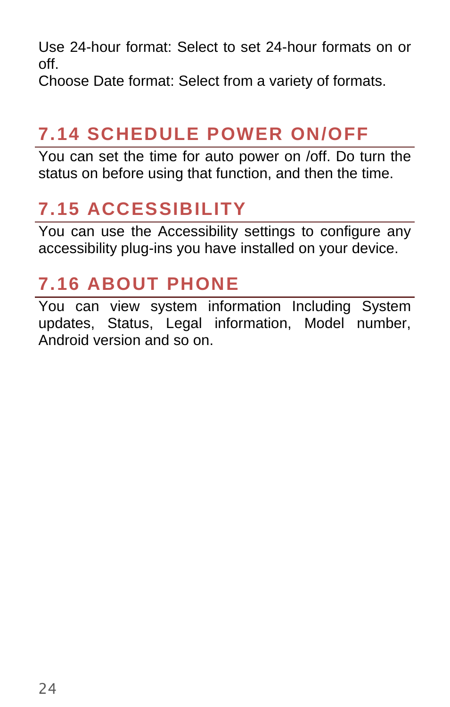Use 24-hour format: Select to set 24-hour formats on or off.

Choose Date format: Select from a variety of formats.

# <span id="page-23-0"></span>**7.14 SCHEDULE POWER ON/OFF**

You can set the time for auto power on /off. Do turn the status on before using that function, and then the time.

## <span id="page-23-1"></span>**7.15 ACCESSIBILITY**

You can use the Accessibility settings to configure any accessibility plug-ins you have installed on your device.

### <span id="page-23-2"></span>**7.16 ABOUT PHONE**

You can view system information Including System updates, Status, Legal information, Model number, Android version and so on.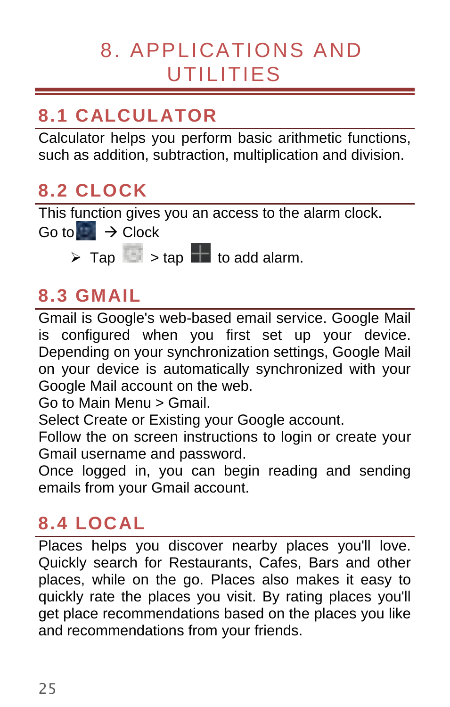# <span id="page-24-0"></span>8. APPLICATIONS AND UTILITIES

# <span id="page-24-1"></span>**8.1 CALCULATOR**

Calculator helps you perform basic arithmetic functions, such as addition, subtraction, multiplication and division.

## <span id="page-24-2"></span>**8.2 CLOCK**

This function gives you an access to the alarm clock.

Go to  $\rightarrow$  Clock

 $\triangleright$  Tap  $\blacksquare$   $\triangleright$  tap  $\blacksquare$  to add alarm.

# <span id="page-24-3"></span>**8.3 GMAIL**

Gmail is Google's web-based email service. Google Mail is configured when you first set up your device. Depending on your synchronization settings, Google Mail on your device is automatically synchronized with your Google Mail account on the web.

Go to Main Menu > Gmail.

Select Create or Existing your Google account.

Follow the on screen instructions to login or create your Gmail username and password.

Once logged in, you can begin reading and sending emails from your Gmail account.

# <span id="page-24-4"></span>**8.4 LOCAL**

Places helps you discover nearby places you'll love. Quickly search for Restaurants, Cafes, Bars and other places, while on the go. Places also makes it easy to quickly rate the places you visit. By rating places you'll get place recommendations based on the places you like and recommendations from your friends.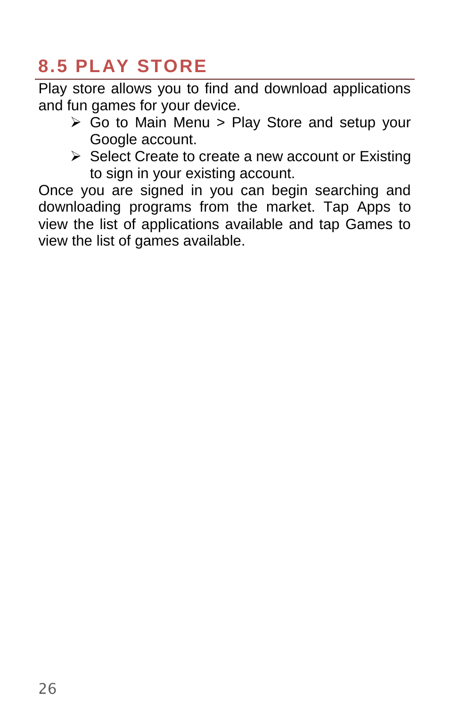## <span id="page-25-0"></span>**8.5 PLAY STORE**

Play store allows you to find and download applications and fun games for your device.

- $\triangleright$  Go to Main Menu > Play Store and setup your Google account.
- $\triangleright$  Select Create to create a new account or Existing to sign in your existing account.

Once you are signed in you can begin searching and downloading programs from the market. Tap Apps to view the list of applications available and tap Games to view the list of games available.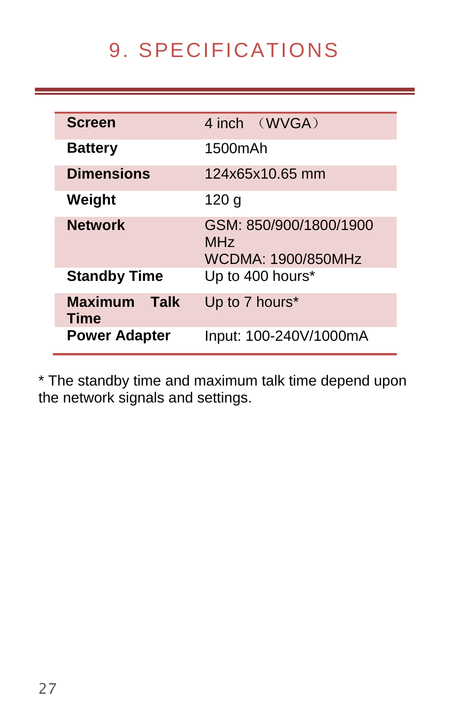# 9. SPECIFICATIONS

<span id="page-26-0"></span>

| <b>Screen</b>                  | 4 inch (WVGA)                                                   |
|--------------------------------|-----------------------------------------------------------------|
| <b>Battery</b>                 | 1500mAh                                                         |
| <b>Dimensions</b>              | 124x65x10.65 mm                                                 |
| Weight                         | 120 g                                                           |
| <b>Network</b>                 | GSM: 850/900/1800/1900<br>M <sub>Hz</sub><br>WCDMA: 1900/850MHz |
| <b>Standby Time</b>            | Up to 400 hours*                                                |
| <b>Maximum</b><br>Talk<br>Time | Up to 7 hours*                                                  |
| <b>Power Adapter</b>           | Input: 100-240V/1000mA                                          |

\* The standby time and maximum talk time depend upon the network signals and settings.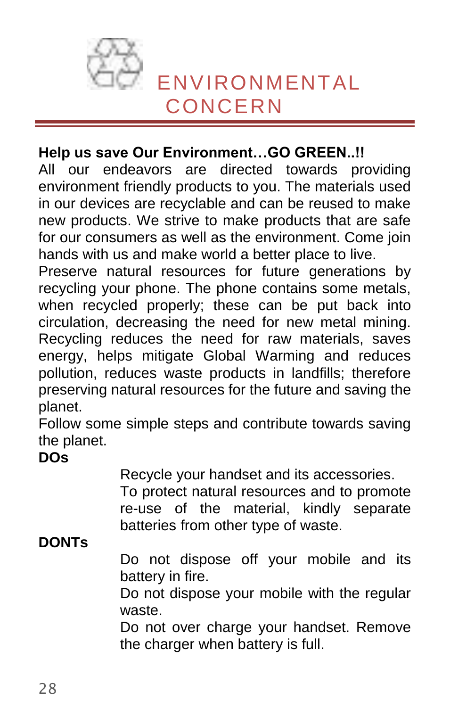<span id="page-27-0"></span>

#### **Help us save Our Environment…GO GREEN..!!**

All our endeavors are directed towards providing environment friendly products to you. The materials used in our devices are recyclable and can be reused to make new products. We strive to make products that are safe for our consumers as well as the environment. Come join hands with us and make world a better place to live.

Preserve natural resources for future generations by recycling your phone. The phone contains some metals, when recycled properly; these can be put back into circulation, decreasing the need for new metal mining. Recycling reduces the need for raw materials, saves energy, helps mitigate Global Warming and reduces pollution, reduces waste products in landfills; therefore preserving natural resources for the future and saving the planet.

Follow some simple steps and contribute towards saving the planet.

#### **DOs**

Recycle your handset and its accessories.

To protect natural resources and to promote re-use of the material, kindly separate batteries from other type of waste.

#### **DONTs**

Do not dispose off your mobile and its battery in fire.

Do not dispose your mobile with the regular waste.

Do not over charge your handset. Remove the charger when battery is full.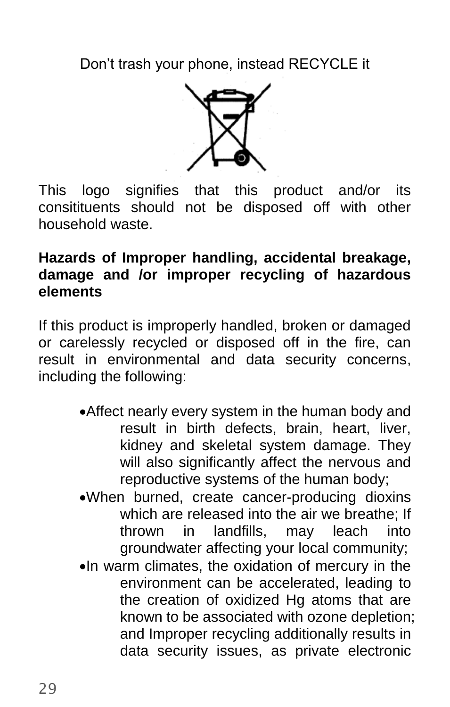Don't trash your phone, instead RECYCLE it



This logo signifies that this product and/or its consitituents should not be disposed off with other household waste.

#### **Hazards of Improper handling, accidental breakage, damage and /or improper recycling of hazardous elements**

If this product is improperly handled, broken or damaged or carelessly recycled or disposed off in the fire, can result in environmental and data security concerns, including the following:

- Affect nearly every system in the human body and result in birth defects, brain, heart, liver, kidney and skeletal system damage. They will also significantly affect the nervous and reproductive systems of the human body;
- When burned, create cancer-producing dioxins which are released into the air we breathe; If<br>thrown in landfills, may leach into may leach into groundwater affecting your local community;
- In warm climates, the oxidation of mercury in the environment can be accelerated, leading to the creation of oxidized Hg atoms that are known to be associated with ozone depletion; and Improper recycling additionally results in data security issues, as private electronic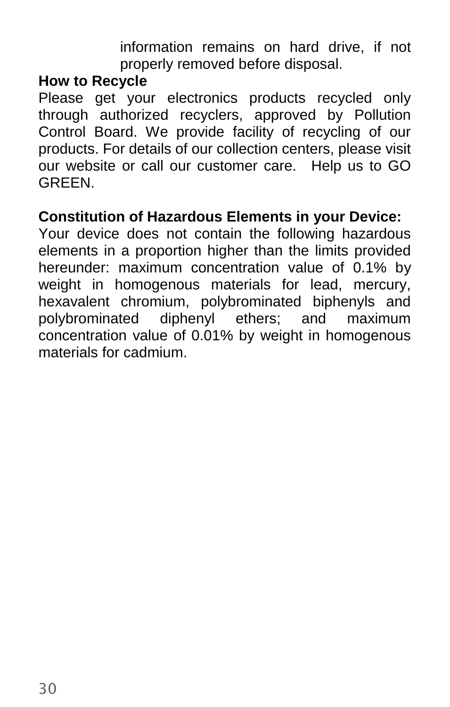information remains on hard drive, if not properly removed before disposal.

#### **How to Recycle**

Please get your electronics products recycled only through authorized recyclers, approved by Pollution Control Board. We provide facility of recycling of our products. For details of our collection centers, please visit our website or call our customer care. Help us to GO GREEN.

#### **Constitution of Hazardous Elements in your Device:**

Your device does not contain the following hazardous elements in a proportion higher than the limits provided hereunder: maximum concentration value of 0.1% by weight in homogenous materials for lead, mercury, hexavalent chromium, polybrominated biphenyls and polybrominated diphenyl ethers; and maximum concentration value of 0.01% by weight in homogenous materials for cadmium.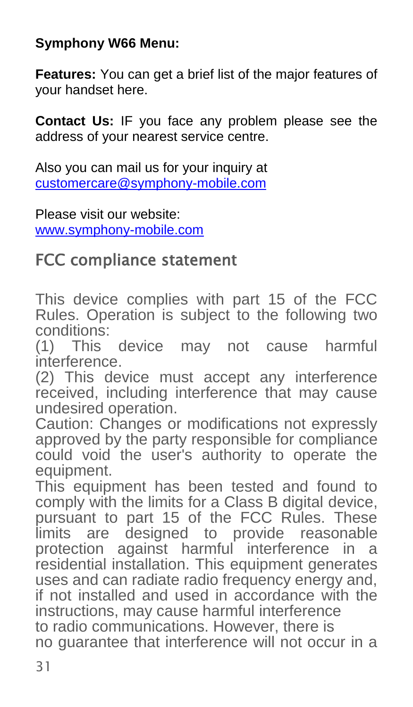#### **Symphony W66 Menu:**

**Features:** You can get a brief list of the major features of your handset here.

**Contact Us:** IF you face any problem please see the address of your nearest service centre.

Also you can mail us for your inquiry at [customercare@symphony-mobile.com](mailto:customercare@symphony-mobile.com)

Please visit our website: [www.symphony-mobile.com](http://www.symphony-mobile.com/)

## FCC compliance statement

This device complies with part 15 of the FCC Rules. Operation is subject to the following two conditions:

(1) This device may not cause harmful interference.

(2) This device must accept any interference received, including interference that may cause undesired operation.

Caution: Changes or modifications not expressly approved by the party responsible for compliance could void the user's authority to operate the equipment.

This equipment has been tested and found to comply with the limits for a Class B digital device, pursuant to part 15 of the FCC Rules. These limits are designed to provide reasonable protection against harmful interference in a residential installation. This equipment generates uses and can radiate radio frequency energy and. if not installed and used in accordance with the instructions, may cause harmful interference to radio communications. However, there is no guarantee that interference will not occur in a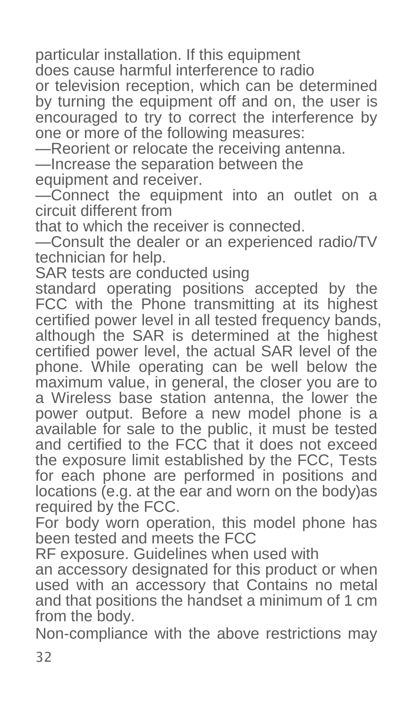particular installation. If this equipment

does cause harmful interference to radio

or television reception, which can be determined by turning the equipment off and on, the user is encouraged to try to correct the interference by one or more of the following measures:

—Reorient or relocate the receiving antenna.

—Increase the separation between the

equipment and receiver.

—Connect the equipment into an outlet on a circuit different from

that to which the receiver is connected.

—Consult the dealer or an experienced radio/TV technician for help.

SAR tests are conducted using

standard operating positions accepted by the FCC with the Phone transmitting at its highest certified power level in all tested frequency bands, although the SAR is determined at the highest certified power level, the actual SAR level of the phone. While operating can be well below the maximum value, in general, the closer you are to a Wireless base station antenna, the lower the power output. Before a new model phone is a available for sale to the public, it must be tested and certified to the FCC that it does not exceed the exposure limit established by the FCC, Tests for each phone are performed in positions and locations (e.g. at the ear and worn on the body)as required by the FCC.

For body worn operation, this model phone has been tested and meets the FCC

RF exposure. Guidelines when used with

an accessory designated for this product or when used with an accessory that Contains no metal and that positions the handset a minimum of 1 cm from the body.

Non-compliance with the above restrictions may